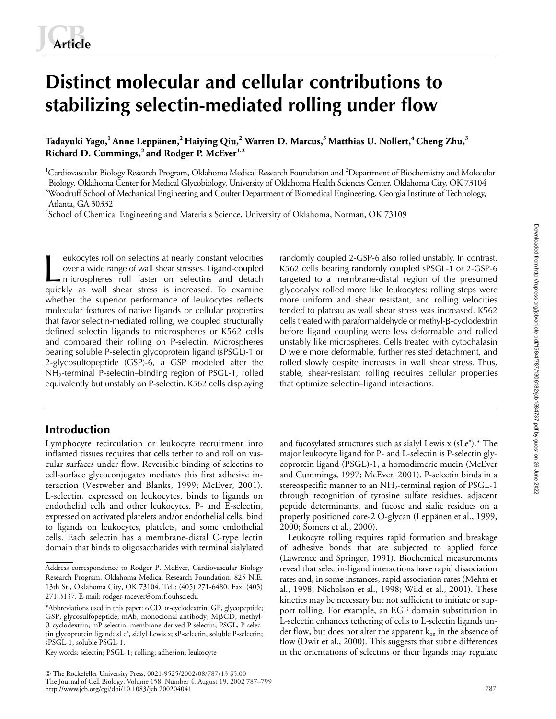# **Distinct molecular and cellular contributions to stabilizing selectin-mediated rolling under flow**

Tadayuki Yago,<sup>1</sup> Anne Leppänen,<sup>2</sup> Haiying Qiu,<sup>2</sup> Warren D. Marcus,<sup>3</sup> Matthias U. Nollert,<sup>4</sup> Cheng Zhu,<sup>3</sup> Richard D. Cummings,<sup>2</sup> and Rodger P. McEver<sup>1,2</sup>

<sup>1</sup>Cardiovascular Biology Research Program, Oklahoma Medical Research Foundation and <sup>2</sup>Department of Biochemistry and Molecular Biology, Oklahoma Center for Medical Glycobiology, University of Oklahoma Health Sciences Center, Oklahoma City, OK 73104 <sup>3</sup>Woodruff School of Mechanical Engineering and Coulter Department of Biomedical Engineering, Georgia Institute of Technology, Atlanta, GA 30332

<sup>4</sup>School of Chemical Engineering and Materials Science, University of Oklahoma, Norman, OK 73109

eukocytes roll on selectins at nearly constant velocities over a wide range of wall shear stresses. Ligand-coupled microspheres roll faster on selectins and detach quickly as wall shear stress is increased. To examine whether the superior performance of leukocytes reflects molecular features of native ligands or cellular properties that favor selectin-mediated rolling, we coupled structurally defined selectin ligands to microspheres or K562 cells and compared their rolling on P-selectin. Microspheres bearing soluble P-selectin glycoprotein ligand (sPSGL)-1 or 2-glycosulfopeptide (GSP)-6, a GSP modeled after the NH2-terminal P-selectin–binding region of PSGL-1, rolled equivalently but unstably on P-selectin. K562 cells displaying eukocytes roll on selectins at nearly constant velocities and omly coupled 2-GSP-6 also rolled unstably. In contrast, over a wide range of wall shear stresses. Ligand-coupled K562 cells bearing randomly coupled sPSGL-1 or

# **Introduction**

Lymphocyte recirculation or leukocyte recruitment into inflamed tissues requires that cells tether to and roll on vascular surfaces under flow. Reversible binding of selectins to cell-surface glycoconjugates mediates this first adhesive interaction (Vestweber and Blanks, 1999; McEver, 2001). L-selectin, expressed on leukocytes, binds to ligands on endothelial cells and other leukocytes. P- and E-selectin, expressed on activated platelets and/or endothelial cells, bind to ligands on leukocytes, platelets, and some endothelial cells. Each selectin has a membrane-distal C-type lectin domain that binds to oligosaccharides with terminal sialylated

Key words: selectin; PSGL-1; rolling; adhesion; leukocyte

 The Rockefeller University Press, 0021-9525/2002/08/787/13 \$5.00 The Journal of Cell Biology, Volume 158, Number 4, August 19, 2002 787–799 http://www.jcb.org/cgi/doi/10.1083/jcb.200204041

K562 cells bearing randomly coupled sPSGL-1 or 2-GSP-6 targeted to a membrane-distal region of the presumed glycocalyx rolled more like leukocytes: rolling steps were more uniform and shear resistant, and rolling velocities tended to plateau as wall shear stress was increased. K562 cells treated with paraformaldehyde or methyl-ß-cyclodextrin before ligand coupling were less deformable and rolled unstably like microspheres. Cells treated with cytochalasin D were more deformable, further resisted detachment, and rolled slowly despite increases in wall shear stress. Thus, stable, shear-resistant rolling requires cellular properties that optimize selectin–ligand interactions.

and fucosylated structures such as sialyl Lewis x  $(sLe<sup>x</sup>).*$  The major leukocyte ligand for P- and L-selectin is P-selectin glycoprotein ligand (PSGL)-1, a homodimeric mucin (McEver and Cummings, 1997; McEver, 2001). P-selectin binds in a stereospecific manner to an  $NH_2$ -terminal region of PSGL-1 through recognition of tyrosine sulfate residues, adjacent peptide determinants, and fucose and sialic residues on a properly positioned core-2 O-glycan (Leppänen et al., 1999, 2000; Somers et al., 2000).

Leukocyte rolling requires rapid formation and breakage of adhesive bonds that are subjected to applied force (Lawrence and Springer, 1991). Biochemical measurements reveal that selectin-ligand interactions have rapid dissociation rates and, in some instances, rapid association rates (Mehta et al., 1998; Nicholson et al., 1998; Wild et al., 2001). These kinetics may be necessary but not sufficient to initiate or support rolling. For example, an EGF domain substitution in L-selectin enhances tethering of cells to L-selectin ligands under flow, but does not alter the apparent  $k_{on}$  in the absence of flow (Dwir et al., 2000). This suggests that subtle differences in the orientations of selectins or their ligands may regulate

Address correspondence to Rodger P. McEver, Cardiovascular Biology Research Program, Oklahoma Medical Research Foundation, 825 N.E. 13th St., Oklahoma City, OK 73104. Tel.: (405) 271-6480. Fax: (405) 271-3137. E-mail: rodger-mcever@omrf.ouhsc.edu

<sup>\*</sup>Abbreviations used in this paper:  $\alpha$ CD,  $\alpha$ -cyclodextrin; GP, glycopeptide; GSP, glycosulfopeptide; mAb, monoclonal antibody; MßCD, methyl---cyclodextrin; mP-selectin, membrane-derived P-selectin; PSGL, P-selectin glycoprotein ligand; sLe<sup>x</sup>, sialyl Lewis x; sP-selectin, soluble P-selectin; sPSGL-1, soluble PSGL-1.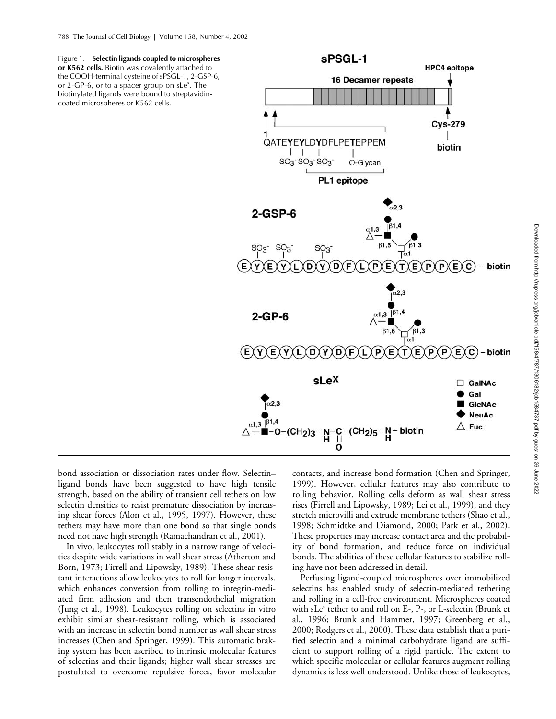Figure 1. **Selectin ligands coupled to microspheres or K562 cells.** Biotin was covalently attached to the COOH-terminal cysteine of sPSGL-1, 2-GSP-6, or 2-GP-6, or to a spacer group on sLe<sup>x</sup>. The biotinylated ligands were bound to streptavidincoated microspheres or K562 cells.



bond association or dissociation rates under flow. Selectin– ligand bonds have been suggested to have high tensile strength, based on the ability of transient cell tethers on low selectin densities to resist premature dissociation by increasing shear forces (Alon et al., 1995, 1997). However, these tethers may have more than one bond so that single bonds need not have high strength (Ramachandran et al., 2001).

In vivo, leukocytes roll stably in a narrow range of velocities despite wide variations in wall shear stress (Atherton and Born, 1973; Firrell and Lipowsky, 1989). These shear-resistant interactions allow leukocytes to roll for longer intervals, which enhances conversion from rolling to integrin-mediated firm adhesion and then transendothelial migration (Jung et al., 1998). Leukocytes rolling on selectins in vitro exhibit similar shear-resistant rolling, which is associated with an increase in selectin bond number as wall shear stress increases (Chen and Springer, 1999). This automatic braking system has been ascribed to intrinsic molecular features of selectins and their ligands; higher wall shear stresses are postulated to overcome repulsive forces, favor molecular

contacts, and increase bond formation (Chen and Springer, 1999). However, cellular features may also contribute to rolling behavior. Rolling cells deform as wall shear stress rises (Firrell and Lipowsky, 1989; Lei et al., 1999), and they stretch microvilli and extrude membrane tethers (Shao et al., 1998; Schmidtke and Diamond, 2000; Park et al., 2002). These properties may increase contact area and the probability of bond formation, and reduce force on individual bonds. The abilities of these cellular features to stabilize rolling have not been addressed in detail.

Perfusing ligand-coupled microspheres over immobilized selectins has enabled study of selectin-mediated tethering and rolling in a cell-free environment. Microspheres coated with sLe<sup>x</sup> tether to and roll on E-, P-, or L-selectin (Brunk et al., 1996; Brunk and Hammer, 1997; Greenberg et al., 2000; Rodgers et al., 2000). These data establish that a purified selectin and a minimal carbohydrate ligand are sufficient to support rolling of a rigid particle. The extent to which specific molecular or cellular features augment rolling dynamics is less well understood. Unlike those of leukocytes,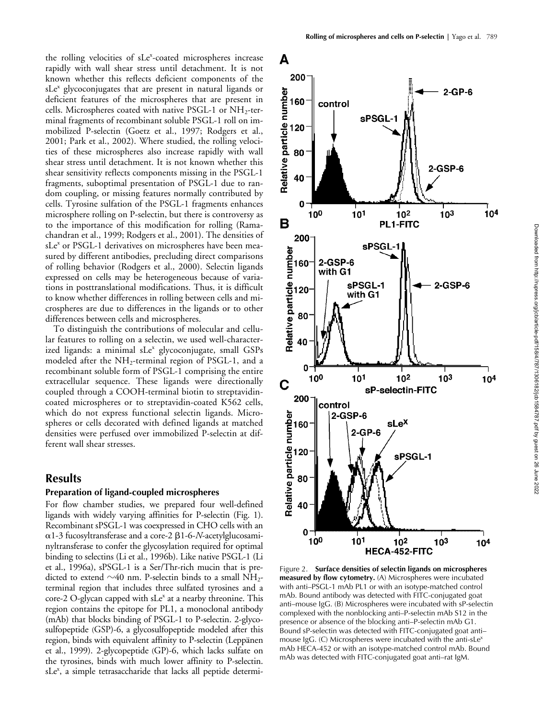the rolling velocities of sLe<sup>x</sup>-coated microspheres increase rapidly with wall shear stress until detachment. It is not known whether this reflects deficient components of the sLe<sup>x</sup> glycoconjugates that are present in natural ligands or deficient features of the microspheres that are present in cells. Microspheres coated with native PSGL-1 or  $NH<sub>2</sub>$ -terminal fragments of recombinant soluble PSGL-1 roll on immobilized P-selectin (Goetz et al., 1997; Rodgers et al., 2001; Park et al., 2002). Where studied, the rolling velocities of these microspheres also increase rapidly with wall shear stress until detachment. It is not known whether this shear sensitivity reflects components missing in the PSGL-1 fragments, suboptimal presentation of PSGL-1 due to random coupling, or missing features normally contributed by cells. Tyrosine sulfation of the PSGL-1 fragments enhances microsphere rolling on P-selectin, but there is controversy as to the importance of this modification for rolling (Ramachandran et al., 1999; Rodgers et al., 2001). The densities of sLe<sup>x</sup> or PSGL-1 derivatives on microspheres have been measured by different antibodies, precluding direct comparisons of rolling behavior (Rodgers et al., 2000). Selectin ligands expressed on cells may be heterogeneous because of variations in posttranslational modifications. Thus, it is difficult to know whether differences in rolling between cells and microspheres are due to differences in the ligands or to other differences between cells and microspheres.

To distinguish the contributions of molecular and cellular features to rolling on a selectin, we used well-characterized ligands: a minimal sLe<sup>x</sup> glycoconjugate, small GSPs modeled after the NH2-terminal region of PSGL-1, and a recombinant soluble form of PSGL-1 comprising the entire extracellular sequence. These ligands were directionally coupled through a COOH-terminal biotin to streptavidincoated microspheres or to streptavidin-coated K562 cells, which do not express functional selectin ligands. Microspheres or cells decorated with defined ligands at matched densities were perfused over immobilized P-selectin at different wall shear stresses.

# **Results**

## **Preparation of ligand-coupled microspheres**

For flow chamber studies, we prepared four well-defined ligands with widely varying affinities for P-selectin (Fig. 1). Recombinant sPSGL-1 was coexpressed in CHO cells with an a 1-3 fucosyltransferase and a core-2  $\beta$ 1-6-*N*-acetylglucosaminyltransferase to confer the glycosylation required for optimal binding to selectins (Li et al., 1996b). Like native PSGL-1 (Li et al., 1996a), sPSGL-1 is a Ser/Thr-rich mucin that is predicted to extend  $\sim$ 40 nm. P-selectin binds to a small NH<sub>2</sub>terminal region that includes three sulfated tyrosines and a core-2 O-glycan capped with sLe<sup>x</sup> at a nearby threonine. This region contains the epitope for PL1, a monoclonal antibody (mAb) that blocks binding of PSGL-1 to P-selectin. 2-glycosulfopeptide (GSP)-6, a glycosulfopeptide modeled after this region, binds with equivalent affinity to P-selectin (Leppänen et al., 1999). 2-glycopeptide (GP)-6, which lacks sulfate on the tyrosines, binds with much lower affinity to P-selectin. sLe<sup>x</sup>, a simple tetrasaccharide that lacks all peptide determi-



Figure 2. **Surface densities of selectin ligands on microspheres measured by flow cytometry.** (A) Microspheres were incubated with anti–PSGL-1 mAb PL1 or with an isotype-matched control mAb. Bound antibody was detected with FITC-conjugated goat anti–mouse IgG. (B) Microspheres were incubated with sP-selectin complexed with the nonblocking anti–P-selectin mAb S12 in the presence or absence of the blocking anti–P-selectin mAb G1. Bound sP-selectin was detected with FITC-conjugated goat anti– mouse IgG. (C) Microspheres were incubated with the anti-sLe<sup>x</sup> mAb HECA-452 or with an isotype-matched control mAb. Bound mAb was detected with FITC-conjugated goat anti–rat IgM.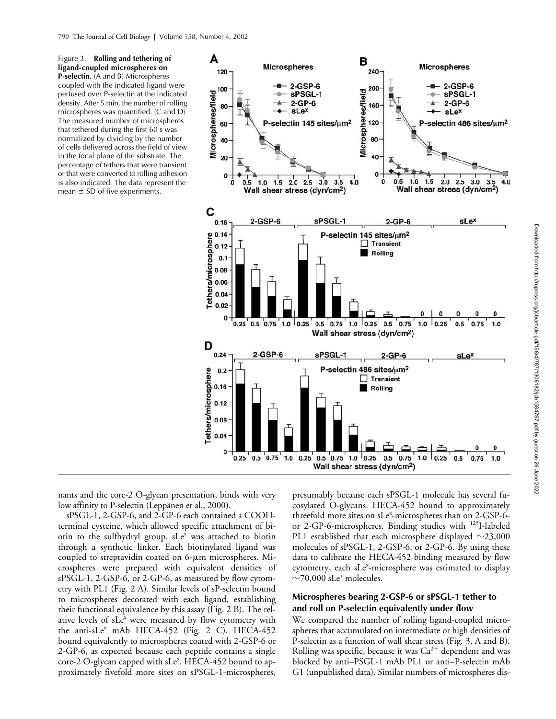Figure 3. **Rolling and tethering of ligand-coupled microspheres on P-selectin.** (A and B) Microspheres coupled with the indicated ligand were perfused over P-selectin at the indicated density. After 5 min, the number of rolling microspheres was quantified. (C and D) The measured number of microspheres that tethered during the first 60 s was normalized by dividing by the number of cells delivered across the field of view in the focal plane of the substrate. The percentage of tethers that were transient or that were converted to rolling adhesion is also indicated. The data represent the mean  $\pm$  SD of five experiments.



nants and the core-2 O-glycan presentation, binds with very low affinity to P-selectin (Leppänen et al., 2000).

sPSGL-1, 2-GSP-6, and 2-GP-6 each contained a COOHterminal cysteine, which allowed specific attachment of biotin to the sulfhydryl group.  $sLe^x$  was attached to biotin through a synthetic linker. Each biotinylated ligand was coupled to streptavidin coated on  $6-\mu m$  microspheres. Microspheres were prepared with equivalent densities of sPSGL-1, 2-GSP-6, or 2-GP-6, as measured by flow cytometry with PL1 (Fig. 2 A). Similar levels of sP-selectin bound to microspheres decorated with each ligand, establishing their functional equivalence by this assay (Fig. 2 B). The relative levels of sLe<sup>x</sup> were measured by flow cytometry with the anti-sLe<sup>x</sup> mAb HECA-452 (Fig. 2 C). HECA-452 bound equivalently to microspheres coated with 2-GSP-6 or 2-GP-6, as expected because each peptide contains a single core-2 O-glycan capped with sLe<sup>x</sup>. HECA-452 bound to approximately fivefold more sites on sPSGL-1-microspheres,

presumably because each sPSGL-1 molecule has several fucosylated O-glycans. HECA-452 bound to approximately threefold more sites on sLe<sup>x</sup>-microspheres than on 2-GSP-6or 2-GP-6-microspheres. Binding studies with <sup>125</sup>I-labeled PL1 established that each microsphere displayed  ${\sim}23{,}000$ molecules of sPSGL-1, 2-GSP-6, or 2-GP-6. By using these data to calibrate the HECA-452 binding measured by flow cytometry, each sLe<sup>x</sup>-microsphere was estimated to display  $\sim$ 70,000 sLe<sup>x</sup> molecules.

## **Microspheres bearing 2-GSP-6 or sPSGL-1 tether to and roll on P-selectin equivalently under flow**

We compared the number of rolling ligand-coupled microspheres that accumulated on intermediate or high densities of P-selectin as a function of wall shear stress (Fig. 3, A and B). Rolling was specific, because it was  $Ca^{2+}$  dependent and was blocked by anti–PSGL-1 mAb PL1 or anti–P-selectin mAb G1 (unpublished data). Similar numbers of microspheres dis-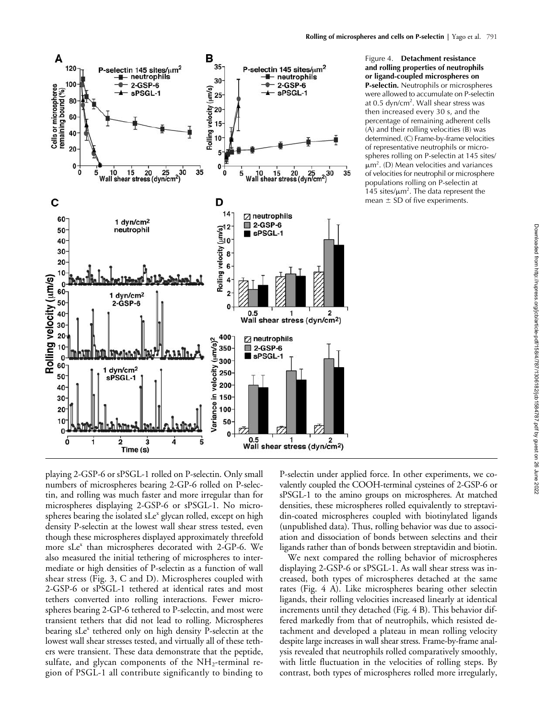

 $\overline{5}$ 

Figure 4. **Detachment resistance and rolling properties of neutrophils or ligand-coupled microspheres on P-selectin.** Neutrophils or microspheres were allowed to accumulate on P-selectin at 0.5 dyn/cm<sup>2</sup>. Wall shear stress was then increased every 30 s, and the percentage of remaining adherent cells (A) and their rolling velocities (B) was determined. (C) Frame-by-frame velocities of representative neutrophils or microspheres rolling on P-selectin at 145 sites/  $\mu$ m<sup>2</sup>. (D) Mean velocities and variances of velocities for neutrophil or microsphere populations rolling on P-selectin at 145 sites/ $\mu$ m<sup>2</sup>. The data represent the mean  $\pm$  SD of five experiments.

playing 2-GSP-6 or sPSGL-1 rolled on P-selectin. Only small numbers of microspheres bearing 2-GP-6 rolled on P-selectin, and rolling was much faster and more irregular than for microspheres displaying 2-GSP-6 or sPSGL-1. No microspheres bearing the isolated sLe<sup>x</sup> glycan rolled, except on high density P-selectin at the lowest wall shear stress tested, even though these microspheres displayed approximately threefold more sLe<sup>x</sup> than microspheres decorated with 2-GP-6. We also measured the initial tethering of microspheres to intermediate or high densities of P-selectin as a function of wall shear stress (Fig. 3, C and D). Microspheres coupled with 2-GSP-6 or sPSGL-1 tethered at identical rates and most tethers converted into rolling interactions. Fewer microspheres bearing 2-GP-6 tethered to P-selectin, and most were transient tethers that did not lead to rolling. Microspheres bearing sLe<sup>x</sup> tethered only on high density P-selectin at the lowest wall shear stresses tested, and virtually all of these tethers were transient. These data demonstrate that the peptide, sulfate, and glycan components of the  $NH_2$ -terminal region of PSGL-1 all contribute significantly to binding to

 $\overline{2}$ 

 $\dot{3}$ 

Time (s)

 $\overline{4}$ 

Ó

 $\mathbf i$ 

P-selectin under applied force. In other experiments, we covalently coupled the COOH-terminal cysteines of 2-GSP-6 or sPSGL-1 to the amino groups on microspheres. At matched densities, these microspheres rolled equivalently to streptavidin-coated microspheres coupled with biotinylated ligands (unpublished data). Thus, rolling behavior was due to association and dissociation of bonds between selectins and their ligands rather than of bonds between streptavidin and biotin.

0.5 1 2<br>Wall shear stress (dyn/cm<sup>2</sup>)

 $0.5$ 

We next compared the rolling behavior of microspheres displaying 2-GSP-6 or sPSGL-1. As wall shear stress was increased, both types of microspheres detached at the same rates (Fig. 4 A). Like microspheres bearing other selectin ligands, their rolling velocities increased linearly at identical increments until they detached (Fig. 4 B). This behavior differed markedly from that of neutrophils, which resisted detachment and developed a plateau in mean rolling velocity despite large increases in wall shear stress. Frame-by-frame analysis revealed that neutrophils rolled comparatively smoothly, with little fluctuation in the velocities of rolling steps. By contrast, both types of microspheres rolled more irregularly,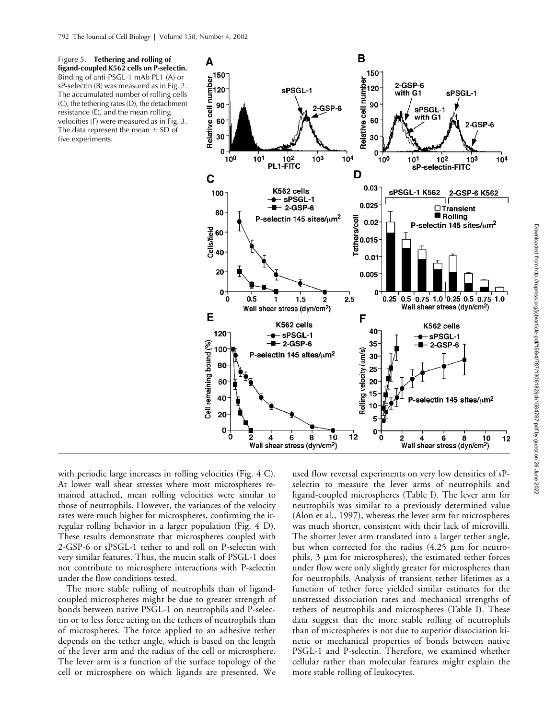Figure 5. **Tethering and rolling of ligand-coupled K562 cells on P-selectin.**  Binding of anti-PSGL-1 mAb PL1 (A) or sP-selectin (B) was measured as in Fig. 2. The accumulated number of rolling cells (C), the tethering rates (D), the detachment resistance (E), and the mean rolling velocities (F) were measured as in Fig. 3. The data represent the mean  $\pm$  SD of five experiments.



with periodic large increases in rolling velocities (Fig. 4 C). At lower wall shear stresses where most microspheres remained attached, mean rolling velocities were similar to those of neutrophils. However, the variances of the velocity rates were much higher for microspheres, confirming the irregular rolling behavior in a larger population (Fig. 4 D). These results demonstrate that microspheres coupled with 2-GSP-6 or sPSGL-1 tether to and roll on P-selectin with very similar features. Thus, the mucin stalk of PSGL-1 does not contribute to microsphere interactions with P-selectin under the flow conditions tested.

The more stable rolling of neutrophils than of ligandcoupled microspheres might be due to greater strength of bonds between native PSGL-1 on neutrophils and P-selectin or to less force acting on the tethers of neutrophils than of microspheres. The force applied to an adhesive tether depends on the tether angle, which is based on the length of the lever arm and the radius of the cell or microsphere. The lever arm is a function of the surface topology of the cell or microsphere on which ligands are presented. We

used flow reversal experiments on very low densities of sPselectin to measure the lever arms of neutrophils and ligand-coupled microspheres (Table I). The lever arm for neutrophils was similar to a previously determined value (Alon et al., 1997), whereas the lever arm for microspheres was much shorter, consistent with their lack of microvilli. The shorter lever arm translated into a larger tether angle, but when corrected for the radius  $(4.25 \mu m)$  for neutrophils,  $3 \mu m$  for microspheres), the estimated tether forces under flow were only slightly greater for microspheres than for neutrophils. Analysis of transient tether lifetimes as a function of tether force yielded similar estimates for the unstressed dissociation rates and mechanical strengths of tethers of neutrophils and microspheres (Table I). These data suggest that the more stable rolling of neutrophils than of microspheres is not due to superior dissociation kinetic or mechanical properties of bonds between native PSGL-1 and P-selectin. Therefore, we examined whether cellular rather than molecular features might explain the more stable rolling of leukocytes.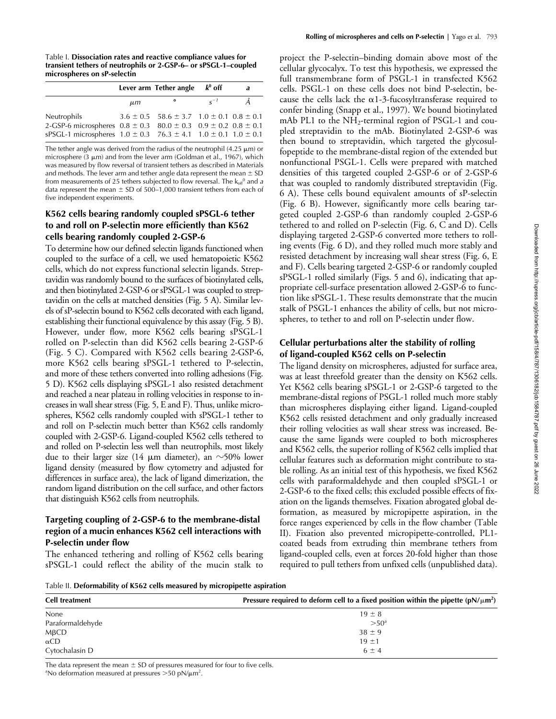Table I. **Dissociation rates and reactive compliance values for transient tethers of neutrophils or 2-GSP-6– or sPSGL-1–coupled microspheres on sP-selectin**

|                                                                               |         | Lever arm Tether angle $k^0$ off                         |          | a |
|-------------------------------------------------------------------------------|---------|----------------------------------------------------------|----------|---|
|                                                                               | $\mu$ m | $\bullet$                                                | $S^{-1}$ | Ă |
| Neutrophils                                                                   |         | $3.6 \pm 0.5$ 58.6 $\pm$ 3.7 1.0 $\pm$ 0.1 0.8 $\pm$ 0.1 |          |   |
| 2-GSP-6 microspheres $0.8 \pm 0.3$ $80.0 \pm 0.3$ $0.9 \pm 0.2$ $0.8 \pm 0.1$ |         |                                                          |          |   |
| sPSGL-1 microspheres $1.0 \pm 0.3$ 76.3 $\pm$ 4.1 $1.0 \pm 0.1$ 1.0 $\pm$ 0.1 |         |                                                          |          |   |

The tether angle was derived from the radius of the neutrophil (4.25  $\mu$ m) or microsphere (3  $\mu$ m) and from the lever arm (Goldman et al., 1967), which was measured by flow reversal of transient tethers as described in Materials and methods. The lever arm and tether angle data represent the mean  $\pm$  SD from measurements of 25 tethers subjected to flow reversal. The  $\mathsf{k}_{\mathsf{off}}{}^{\scriptscriptstyle{0}}$  and *a* data represent the mean  $\pm$  SD of 500–1,000 transient tethers from each of five independent experiments.

## **K562 cells bearing randomly coupled sPSGL-6 tether to and roll on P-selectin more efficiently than K562 cells bearing randomly coupled 2-GSP-6**

To determine how our defined selectin ligands functioned when coupled to the surface of a cell, we used hematopoietic K562 cells, which do not express functional selectin ligands. Streptavidin was randomly bound to the surfaces of biotinylated cells, and then biotinylated 2-GSP-6 or sPSGL-1 was coupled to streptavidin on the cells at matched densities (Fig. 5 A). Similar levels of sP-selectin bound to K562 cells decorated with each ligand, establishing their functional equivalence by this assay (Fig. 5 B). However, under flow, more K562 cells bearing sPSGL-1 rolled on P-selectin than did K562 cells bearing 2-GSP-6 (Fig. 5 C). Compared with K562 cells bearing 2-GSP-6, more K562 cells bearing sPSGL-1 tethered to P-selectin, and more of these tethers converted into rolling adhesions (Fig. 5 D). K562 cells displaying sPSGL-1 also resisted detachment and reached a near plateau in rolling velocities in response to increases in wall shear stress (Fig. 5, E and F). Thus, unlike microspheres, K562 cells randomly coupled with sPSGL-1 tether to and roll on P-selectin much better than K562 cells randomly coupled with 2-GSP-6. Ligand-coupled K562 cells tethered to and rolled on P-selectin less well than neutrophils, most likely due to their larger size (14  $\mu$ m diameter), an  $\sim$ 50% lower ligand density (measured by flow cytometry and adjusted for differences in surface area), the lack of ligand dimerization, the random ligand distribution on the cell surface, and other factors that distinguish K562 cells from neutrophils.

## **Targeting coupling of 2-GSP-6 to the membrane-distal region of a mucin enhances K562 cell interactions with P-selectin under flow**

The enhanced tethering and rolling of K562 cells bearing sPSGL-1 could reflect the ability of the mucin stalk to

project the P-selectin–binding domain above most of the cellular glycocalyx. To test this hypothesis, we expressed the full transmembrane form of PSGL-1 in transfected K562 cells. PSGL-1 on these cells does not bind P-selectin, because the cells lack the  $\alpha$ 1-3-fucosyltransferase required to confer binding (Snapp et al., 1997). We bound biotinylated mAb PL1 to the  $NH_2$ -terminal region of PSGL-1 and coupled streptavidin to the mAb. Biotinylated 2-GSP-6 was then bound to streptavidin, which targeted the glycosulfopeptide to the membrane-distal region of the extended but nonfunctional PSGL-1. Cells were prepared with matched densities of this targeted coupled 2-GSP-6 or of 2-GSP-6 that was coupled to randomly distributed streptavidin (Fig. 6 A). These cells bound equivalent amounts of sP-selectin (Fig. 6 B). However, significantly more cells bearing targeted coupled 2-GSP-6 than randomly coupled 2-GSP-6 tethered to and rolled on P-selectin (Fig. 6, C and D). Cells displaying targeted 2-GSP-6 converted more tethers to rolling events (Fig. 6 D), and they rolled much more stably and resisted detachment by increasing wall shear stress (Fig. 6, E and F). Cells bearing targeted 2-GSP-6 or randomly coupled sPSGL-1 rolled similarly (Figs. 5 and 6), indicating that appropriate cell-surface presentation allowed 2-GSP-6 to function like sPSGL-1. These results demonstrate that the mucin stalk of PSGL-1 enhances the ability of cells, but not microspheres, to tether to and roll on P-selectin under flow.

# **Cellular perturbations alter the stability of rolling of ligand-coupled K562 cells on P-selectin**

The ligand density on microspheres, adjusted for surface area, was at least threefold greater than the density on K562 cells. Yet K562 cells bearing sPSGL-1 or 2-GSP-6 targeted to the membrane-distal regions of PSGL-1 rolled much more stably than microspheres displaying either ligand. Ligand-coupled K562 cells resisted detachment and only gradually increased their rolling velocities as wall shear stress was increased. Because the same ligands were coupled to both microspheres and K562 cells, the superior rolling of K562 cells implied that cellular features such as deformation might contribute to stable rolling. As an initial test of this hypothesis, we fixed K562 cells with paraformaldehyde and then coupled sPSGL-1 or 2-GSP-6 to the fixed cells; this excluded possible effects of fixation on the ligands themselves. Fixation abrogated global deformation, as measured by micropipette aspiration, in the force ranges experienced by cells in the flow chamber (Table II). Fixation also prevented micropipette-controlled, PL1 coated beads from extruding thin membrane tethers from ligand-coupled cells, even at forces 20-fold higher than those required to pull tethers from unfixed cells (unpublished data).

Table II. **Deformability of K562 cells measured by micropipette aspiration**

| <b>Cell treatment</b> | Pressure required to deform cell to a fixed position within the pipette $(pN/\mu m^2)$ |  |  |
|-----------------------|----------------------------------------------------------------------------------------|--|--|
| None                  | $19 \pm 8$                                                                             |  |  |
| Paraformaldehyde      | >50 <sup>a</sup>                                                                       |  |  |
| $M\beta$ CD           | $38 \pm 9$                                                                             |  |  |
| $\alpha$ CD           | $19 + 1$                                                                               |  |  |
| Cytochalasin D        | $6 \pm 4$                                                                              |  |  |

The data represent the mean  $\pm$  SD of pressures measured for four to five cells.

No deformation measured at pressures  $>$  50 pN/ $\mu$ m<sup>2</sup>.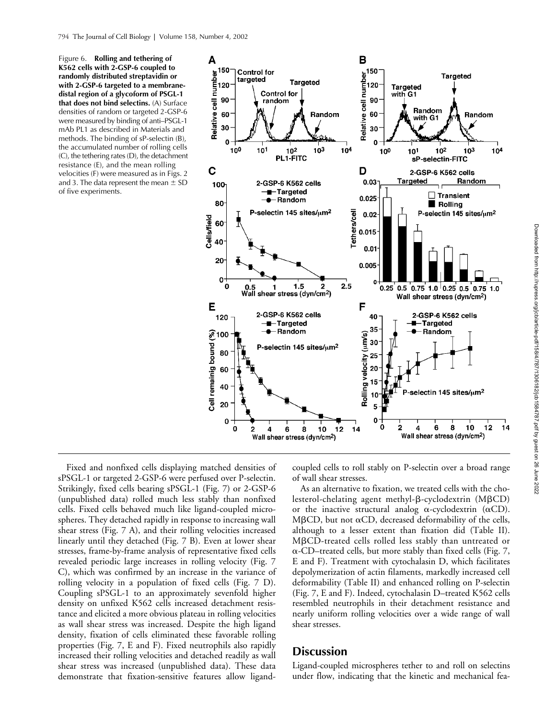Figure 6. **Rolling and tethering of K562 cells with 2-GSP-6 coupled to randomly distributed streptavidin or with 2-GSP-6 targeted to a membranedistal region of a glycoform of PSGL-1 that does not bind selectins.** (A) Surface densities of random or targeted 2-GSP-6 were measured by binding of anti–PSGL-1 mAb PL1 as described in Materials and methods. The binding of sP-selectin (B), the accumulated number of rolling cells (C), the tethering rates (D), the detachment resistance (E), and the mean rolling velocities (F) were measured as in Figs. 2 and 3. The data represent the mean  $\pm$  SD of five experiments.



Fixed and nonfixed cells displaying matched densities of sPSGL-1 or targeted 2-GSP-6 were perfused over P-selectin. Strikingly, fixed cells bearing sPSGL-1 (Fig. 7) or 2-GSP-6 (unpublished data) rolled much less stably than nonfixed cells. Fixed cells behaved much like ligand-coupled microspheres. They detached rapidly in response to increasing wall shear stress (Fig. 7 A), and their rolling velocities increased linearly until they detached (Fig. 7 B). Even at lower shear stresses, frame-by-frame analysis of representative fixed cells revealed periodic large increases in rolling velocity (Fig. 7 C), which was confirmed by an increase in the variance of rolling velocity in a population of fixed cells (Fig. 7 D). Coupling sPSGL-1 to an approximately sevenfold higher density on unfixed K562 cells increased detachment resistance and elicited a more obvious plateau in rolling velocities as wall shear stress was increased. Despite the high ligand density, fixation of cells eliminated these favorable rolling properties (Fig. 7, E and F). Fixed neutrophils also rapidly increased their rolling velocities and detached readily as wall shear stress was increased (unpublished data). These data demonstrate that fixation-sensitive features allow ligandcoupled cells to roll stably on P-selectin over a broad range of wall shear stresses.

As an alternative to fixation, we treated cells with the cholesterol-chelating agent methyl-β-cyclodextrin (MβCD) or the inactive structural analog  $\alpha$ -cyclodextrin ( $\alpha$ CD).  $M\beta$ CD, but not  $\alpha$ CD, decreased deformability of the cells, although to a lesser extent than fixation did (Table II). MBCD-treated cells rolled less stably than untreated or  $\alpha$ -CD–treated cells, but more stably than fixed cells (Fig. 7, E and F). Treatment with cytochalasin D, which facilitates depolymerization of actin filaments, markedly increased cell deformability (Table II) and enhanced rolling on P-selectin (Fig. 7, E and F). Indeed, cytochalasin D–treated K562 cells resembled neutrophils in their detachment resistance and nearly uniform rolling velocities over a wide range of wall shear stresses.

# **Discussion**

Ligand-coupled microspheres tether to and roll on selectins under flow, indicating that the kinetic and mechanical fea-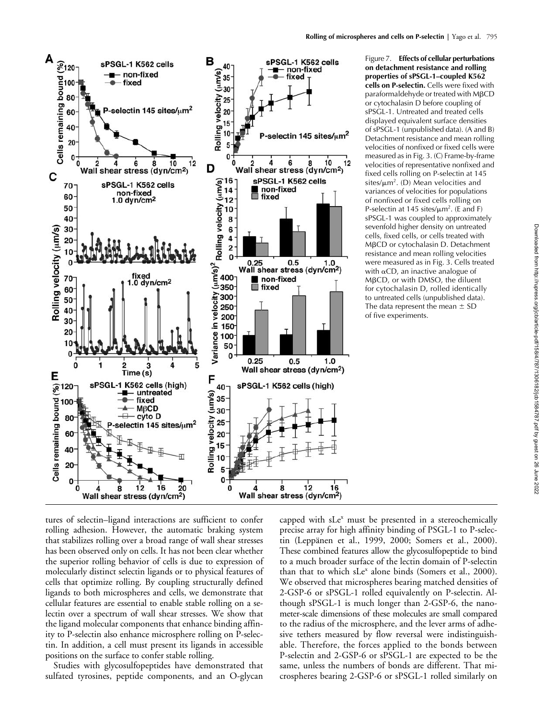

Figure 7. **Effects of cellular perturbations on detachment resistance and rolling properties of sPSGL-1–coupled K562 cells on P-selectin.** Cells were fixed with paraformaldehyde or treated with MBCD or cytochalasin D before coupling of sPSGL-1. Untreated and treated cells displayed equivalent surface densities of sPSGL-1 (unpublished data). (A and B) Detachment resistance and mean rolling velocities of nonfixed or fixed cells were measured as in Fig. 3. (C) Frame-by-frame velocities of representative nonfixed and fixed cells rolling on P-selectin at 145 sites/ $\mu$ m<sup>2</sup>. (D) Mean velocities and variances of velocities for populations of nonfixed or fixed cells rolling on P-selectin at 145 sites/ $\mu$ m<sup>2</sup>. (E and F) sPSGL-1 was coupled to approximately sevenfold higher density on untreated cells, fixed cells, or cells treated with MβCD or cytochalasin D. Detachment resistance and mean rolling velocities were measured as in Fig. 3. Cells treated with  $\alpha$ CD, an inactive analogue of MBCD, or with DMSO, the diluent for cytochalasin D, rolled identically to untreated cells (unpublished data). The data represent the mean  $\pm$  SD of five experiments.

tures of selectin–ligand interactions are sufficient to confer rolling adhesion. However, the automatic braking system that stabilizes rolling over a broad range of wall shear stresses has been observed only on cells. It has not been clear whether the superior rolling behavior of cells is due to expression of molecularly distinct selectin ligands or to physical features of cells that optimize rolling. By coupling structurally defined ligands to both microspheres and cells, we demonstrate that cellular features are essential to enable stable rolling on a selectin over a spectrum of wall shear stresses. We show that the ligand molecular components that enhance binding affinity to P-selectin also enhance microsphere rolling on P-selectin. In addition, a cell must present its ligands in accessible positions on the surface to confer stable rolling.

Studies with glycosulfopeptides have demonstrated that sulfated tyrosines, peptide components, and an O-glycan

capped with sLe<sup>x</sup> must be presented in a stereochemically precise array for high affinity binding of PSGL-1 to P-selectin (Leppänen et al., 1999, 2000; Somers et al., 2000). These combined features allow the glycosulfopeptide to bind to a much broader surface of the lectin domain of P-selectin than that to which sLe<sup>x</sup> alone binds (Somers et al., 2000). We observed that microspheres bearing matched densities of 2-GSP-6 or sPSGL-1 rolled equivalently on P-selectin. Although sPSGL-1 is much longer than 2-GSP-6, the nanometer-scale dimensions of these molecules are small compared to the radius of the microsphere, and the lever arms of adhesive tethers measured by flow reversal were indistinguishable. Therefore, the forces applied to the bonds between P-selectin and 2-GSP-6 or sPSGL-1 are expected to be the same, unless the numbers of bonds are different. That microspheres bearing 2-GSP-6 or sPSGL-1 rolled similarly on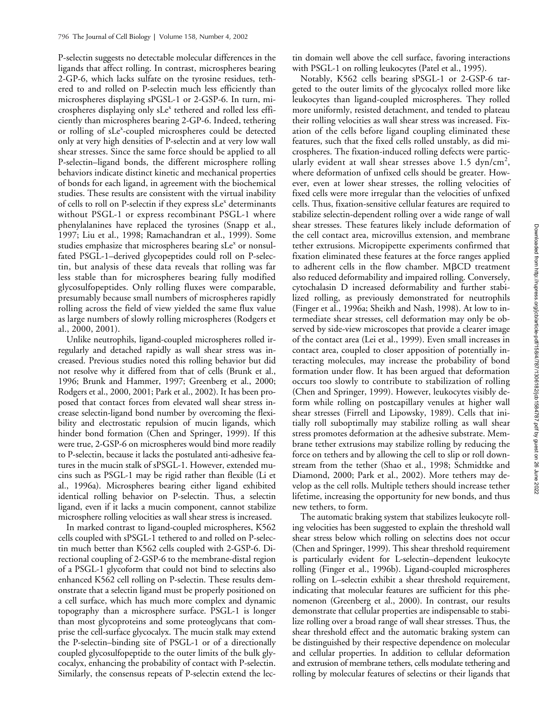P-selectin suggests no detectable molecular differences in the ligands that affect rolling. In contrast, microspheres bearing 2-GP-6, which lacks sulfate on the tyrosine residues, tethered to and rolled on P-selectin much less efficiently than microspheres displaying sPGSL-1 or 2-GSP-6. In turn, microspheres displaying only sLe<sup>x</sup> tethered and rolled less efficiently than microspheres bearing 2-GP-6. Indeed, tethering or rolling of sLe<sup>x</sup>-coupled microspheres could be detected only at very high densities of P-selectin and at very low wall shear stresses. Since the same force should be applied to all P-selectin–ligand bonds, the different microsphere rolling behaviors indicate distinct kinetic and mechanical properties of bonds for each ligand, in agreement with the biochemical studies. These results are consistent with the virtual inability of cells to roll on P-selectin if they express sLe<sup>x</sup> determinants without PSGL-1 or express recombinant PSGL-1 where phenylalanines have replaced the tyrosines (Snapp et al., 1997; Liu et al., 1998; Ramachandran et al., 1999). Some studies emphasize that microspheres bearing sLe<sup>x</sup> or nonsulfated PSGL-1–derived glycopeptides could roll on P-selectin, but analysis of these data reveals that rolling was far less stable than for microspheres bearing fully modified glycosulfopeptides. Only rolling fluxes were comparable, presumably because small numbers of microspheres rapidly rolling across the field of view yielded the same flux value as large numbers of slowly rolling microspheres (Rodgers et al., 2000, 2001).

Unlike neutrophils, ligand-coupled microspheres rolled irregularly and detached rapidly as wall shear stress was increased. Previous studies noted this rolling behavior but did not resolve why it differed from that of cells (Brunk et al., 1996; Brunk and Hammer, 1997; Greenberg et al., 2000; Rodgers et al., 2000, 2001; Park et al., 2002). It has been proposed that contact forces from elevated wall shear stress increase selectin-ligand bond number by overcoming the flexibility and electrostatic repulsion of mucin ligands, which hinder bond formation (Chen and Springer, 1999). If this were true, 2-GSP-6 on microspheres would bind more readily to P-selectin, because it lacks the postulated anti-adhesive features in the mucin stalk of sPSGL-1. However, extended mucins such as PSGL-1 may be rigid rather than flexible (Li et al., 1996a). Microspheres bearing either ligand exhibited identical rolling behavior on P-selectin. Thus, a selectin ligand, even if it lacks a mucin component, cannot stabilize microsphere rolling velocities as wall shear stress is increased.

In marked contrast to ligand-coupled microspheres, K562 cells coupled with sPSGL-1 tethered to and rolled on P-selectin much better than K562 cells coupled with 2-GSP-6. Directional coupling of 2-GSP-6 to the membrane-distal region of a PSGL-1 glycoform that could not bind to selectins also enhanced K562 cell rolling on P-selectin. These results demonstrate that a selectin ligand must be properly positioned on a cell surface, which has much more complex and dynamic topography than a microsphere surface. PSGL-1 is longer than most glycoproteins and some proteoglycans that comprise the cell-surface glycocalyx. The mucin stalk may extend the P-selectin–binding site of PSGL-1 or of a directionally coupled glycosulfopeptide to the outer limits of the bulk glycocalyx, enhancing the probability of contact with P-selectin. Similarly, the consensus repeats of P-selectin extend the lec-

tin domain well above the cell surface, favoring interactions with PSGL-1 on rolling leukocytes (Patel et al., 1995).

Notably, K562 cells bearing sPSGL-1 or 2-GSP-6 targeted to the outer limits of the glycocalyx rolled more like leukocytes than ligand-coupled microspheres. They rolled more uniformly, resisted detachment, and tended to plateau their rolling velocities as wall shear stress was increased. Fixation of the cells before ligand coupling eliminated these features, such that the fixed cells rolled unstably, as did microspheres. The fixation-induced rolling defects were particularly evident at wall shear stresses above 1.5  $dyn/cm<sup>2</sup>$ , where deformation of unfixed cells should be greater. However, even at lower shear stresses, the rolling velocities of fixed cells were more irregular than the velocities of unfixed cells. Thus, fixation-sensitive cellular features are required to stabilize selectin-dependent rolling over a wide range of wall shear stresses. These features likely include deformation of the cell contact area, microvillus extension, and membrane tether extrusions. Micropipette experiments confirmed that fixation eliminated these features at the force ranges applied to adherent cells in the flow chamber. MBCD treatment also reduced deformability and impaired rolling. Conversely, cytochalasin D increased deformability and further stabilized rolling, as previously demonstrated for neutrophils (Finger et al., 1996a; Sheikh and Nash, 1998). At low to intermediate shear stresses, cell deformation may only be observed by side-view microscopes that provide a clearer image of the contact area (Lei et al., 1999). Even small increases in contact area, coupled to closer apposition of potentially interacting molecules, may increase the probability of bond formation under flow. It has been argued that deformation occurs too slowly to contribute to stabilization of rolling (Chen and Springer, 1999). However, leukocytes visibly deform while rolling on postcapillary venules at higher wall shear stresses (Firrell and Lipowsky, 1989). Cells that initially roll suboptimally may stabilize rolling as wall shear stress promotes deformation at the adhesive substrate. Membrane tether extrusions may stabilize rolling by reducing the force on tethers and by allowing the cell to slip or roll downstream from the tether (Shao et al., 1998; Schmidtke and Diamond, 2000; Park et al., 2002). More tethers may develop as the cell rolls. Multiple tethers should increase tether lifetime, increasing the opportunity for new bonds, and thus new tethers, to form.

The automatic braking system that stabilizes leukocyte rolling velocities has been suggested to explain the threshold wall shear stress below which rolling on selectins does not occur (Chen and Springer, 1999). This shear threshold requirement is particularly evident for L-selectin–dependent leukocyte rolling (Finger et al., 1996b). Ligand-coupled microspheres rolling on L–selectin exhibit a shear threshold requirement, indicating that molecular features are sufficient for this phenomenon (Greenberg et al., 2000). In contrast, our results demonstrate that cellular properties are indispensable to stabilize rolling over a broad range of wall shear stresses. Thus, the shear threshold effect and the automatic braking system can be distinguished by their respective dependence on molecular and cellular properties. In addition to cellular deformation and extrusion of membrane tethers, cells modulate tethering and rolling by molecular features of selectins or their ligands that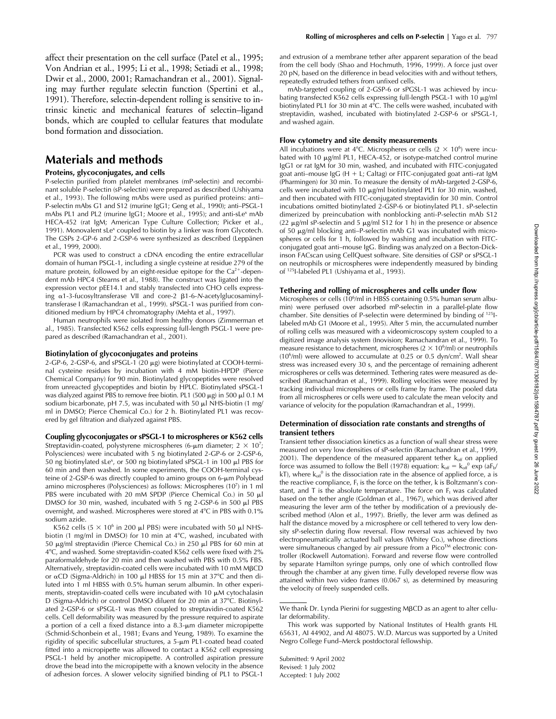affect their presentation on the cell surface (Patel et al., 1995; Von Andrian et al., 1995; Li et al., 1998; Setiadi et al., 1998; Dwir et al., 2000, 2001; Ramachandran et al., 2001). Signaling may further regulate selectin function (Spertini et al., 1991). Therefore, selectin-dependent rolling is sensitive to intrinsic kinetic and mechanical features of selectin–ligand bonds, which are coupled to cellular features that modulate bond formation and dissociation.

# **Materials and methods**

### **Proteins, glycoconjugates, and cells**

P-selectin purified from platelet membranes (mP-selectin) and recombinant soluble P-selectin (sP-selectin) were prepared as described (Ushiyama et al., 1993). The following mAbs were used as purified proteins: anti– P-selectin mAbs G1 and S12 (murine IgG1; Geng et al., 1990); anti–PSGL-1 mAbs PL1 and PL2 (murine IgG1; Moore et al., 1995); and anti-sLe<sup>x</sup> mAb HECA-452 (rat IgM; American Type Culture Collection; Picker et al., 1991). Monovalent sLe<sup>x</sup> coupled to biotin by a linker was from Glycotech. The GSPs 2-GP-6 and 2-GSP-6 were synthesized as described (Leppänen et al., 1999, 2000).

PCR was used to construct a cDNA encoding the entire extracellular domain of human PSGL-1, including a single cysteine at residue 279 of the mature protein, followed by an eight-residue epitope for the  $Ca^{2+}$ -dependent mAb HPC4 (Stearns et al., 1988). The construct was ligated into the expression vector pEE14.1 and stably transfected into CHO cells expressing α1-3-fucosyltransferase VII and core-2 β1-6-*N*-acetylglucosaminyltransferase I (Ramachandran et al., 1999). sPSGL-1 was purified from conditioned medium by HPC4 chromatography (Mehta et al., 1997).

Human neutrophils were isolated from healthy donors (Zimmerman et al., 1985). Transfected K562 cells expressing full-length PSGL-1 were prepared as described (Ramachandran et al., 2001).

#### **Biotinylation of glycoconjugates and proteins**

2-GP-6, 2-GSP-6, and sPSGL-1  $(20 \ \mu g)$  were biotinylated at COOH-terminal cysteine residues by incubation with 4 mM biotin-HPDP (Pierce Chemical Company) for 90 min. Biotinylated glycopeptides were resolved from unreacted glycopeptides and biotin by HPLC. Biotinylated sPSGL-1 was dialyzed against PBS to remove free biotin. PL1 (500  $\mu$ g) in 500  $\mu$ l 0.1 M sodium bicarbonate, pH 7.5, was incubated with 50  $\mu$ l NHS-biotin (1 mg/ ml in DMSO; Pierce Chemical Co.) for 2 h. Biotinylated PL1 was recovered by gel filtration and dialyzed against PBS.

#### **Coupling glycoconjugates or sPSGL-1 to microspheres or K562 cells**

Streptavidin-coated, polystyrene microspheres (6- $\mu$ m diameter; 2  $\times$  10<sup>7</sup>; Polysciences) were incubated with 5 ng biotinylated 2-GP-6 or 2-GSP-6, 50 ng biotinylated sLe<sup>x</sup>, or 500 ng biotinylated sPSGL-1 in 100 µl PBS for 60 min and then washed. In some experiments, the COOH-terminal cysteine of 2-GSP-6 was directly coupled to amino groups on 6-um Polybead amino microspheres (Polysciences) as follows: Microspheres (10<sup>7</sup>) in 1 ml PBS were incubated with 20 mM SPDP (Pierce Chemical Co.) in 50 µl DMSO for 30 min, washed, incubated with 5 ng 2-GSP-6 in 500  $\mu$ l PBS overnight, and washed. Microspheres were stored at 4 C in PBS with 0.1% sodium azide.

K562 cells (5  $\times$  10<sup>6</sup> in 200  $\mu$ l PBS) were incubated with 50  $\mu$ l NHSbiotin (1 mg/ml in DMSO) for 10 min at 4 C, washed, incubated with 50  $\mu$ g/ml streptavidin (Pierce Chemical Co.) in 250  $\mu$ l PBS for 60 min at 4 C, and washed. Some streptavidin-coated K562 cells were fixed with 2% paraformaldehyde for 20 min and then washed with PBS with 0.5% FBS. Alternatively, streptavidin-coated cells were incubated with 10 mM M $\beta$ CD or αCD (Sigma-Aldrich) in 100 μl HBSS for 15 min at 37°C and then diluted into 1 ml HBSS with 0.5% human serum albumin. In other experiments, streptavidin-coated cells were incubated with 10  $\mu$ M cytochalasin D (Sigma-Aldrich) or control DMSO diluent for 20 min at 37 C. Biotinylated 2-GSP-6 or sPSGL-1 was then coupled to streptavidin-coated K562 cells. Cell deformability was measured by the pressure required to aspirate a portion of a cell a fixed distance into a  $8.3$ - $\mu$ m diameter micropipette (Schmid-Schonbein et al., 1981; Evans and Yeung, 1989). To examine the rigidity of specific subcellular structures, a 5-um PL1-coated bead coated fitted into a micropipette was allowed to contact a K562 cell expressing PSGL-1 held by another micropipette. A controlled aspiration pressure drove the bead into the micropipette with a known velocity in the absence of adhesion forces. A slower velocity signified binding of PL1 to PSGL-1

and extrusion of a membrane tether after apparent separation of the bead from the cell body (Shao and Hochmuth, 1996, 1999). A force just over 20 pN, based on the difference in bead velocities with and without tethers, repeatedly extruded tethers from unfixed cells.

mAb-targeted coupling of 2-GSP-6 or sPGSL-1 was achieved by incubating transfected K562 cells expressing full-length PSGL-1 with 10 µg/ml biotinylated PL1 for 30 min at 4 C. The cells were washed, incubated with streptavidin, washed, incubated with biotinylated 2-GSP-6 or sPSGL-1, and washed again.

#### **Flow cytometry and site density measurements**

All incubations were at 4°C. Microspheres or cells (2  $\times$  10<sup>6</sup>) were incubated with 10  $\mu$ g/ml PL1, HECA-452, or isotype-matched control murine IgG1 or rat IgM for 30 min, washed, and incubated with FITC-conjugated goat anti-mouse IgG (H + L; Caltag) or FITC-conjugated goat anti-rat IgM (Pharmingen) for 30 min. To measure the density of mAb-targeted 2-GSP-6, cells were incubated with 10  $\mu$ g/ml biotinylated PL1 for 30 min, washed, and then incubated with FITC-conjugated streptavidin for 30 min. Control incubations omitted biotinylated 2-GSP-6 or biotinylated PL1. sP-selectin dimerized by preincubation with nonblocking anti-P-selectin mAb S12 (22  $\mu$ g/ml sP-selectin and 5  $\mu$ g/ml S12 for 1 h) in the presence or absence of 50  $\mu$ g/ml blocking anti–P-selectin mAb G1 was incubated with microspheres or cells for 1 h, followed by washing and incubation with FITCconjugated goat anti–mouse IgG. Binding was analyzed on a Becton-Dickinson FACscan using CellQuest software. Site densities of GSP or sPSGL-1 on neutrophils or microspheres were independently measured by binding of 125I-labeled PL1 (Ushiyama et al., 1993).

#### **Tethering and rolling of microspheres and cells under flow**

Microspheres or cells (10<sup>6</sup>/ml in HBSS containing 0.5% human serum albumin) were perfused over adsorbed mP-selectin in a parallel-plate flow chamber. Site densities of P-selectin were determined by binding of 125Ilabeled mAb G1 (Moore et al., 1995). After 5 min, the accumulated number of rolling cells was measured with a videomicroscopy system coupled to a digitized image analysis system (Inovision; Ramachandran et al., 1999). To measure resistance to detachment, microspheres ( $2 \times 10^6$ /ml) or neutrophils (10<sup>6</sup>/ml) were allowed to accumulate at 0.25 or 0.5 dyn/cm<sup>2</sup>. Wall shear stress was increased every 30 s, and the percentage of remaining adherent microspheres or cells was determined. Tethering rates were measured as described (Ramachandran et al., 1999). Rolling velocities were measured by tracking individual microspheres or cells frame by frame. The pooled data from all microspheres or cells were used to calculate the mean velocity and variance of velocity for the population (Ramachandran et al., 1999).

#### **Determination of dissociation rate constants and strengths of transient tethers**

Transient tether dissociation kinetics as a function of wall shear stress were measured on very low densities of sP-selectin (Ramachandran et al., 1999, 2001). The dependence of the measured apparent tether  $k_{off}$  on applied force was assumed to follow the Bell (1978) equation:  $k_{off} = k_{off}^0$  exp (aF<sub>b</sub>/ kT), where  $k_{off}$ <sup>0</sup> is the dissociation rate in the absence of applied force, a is the reactive compliance,  $F_t$  is the force on the tether, k is Boltzmann's constant, and T is the absolute temperature. The force on  $F_t$  was calculated based on the tether angle (Goldman et al., 1967), which was derived after measuring the lever arm of the tether by modification of a previously described method (Alon et al., 1997). Briefly, the lever arm was defined as half the distance moved by a microsphere or cell tethered to very low density sP-selectin during flow reversal. Flow reversal was achieved by two electropneumatically actuated ball values (Whitey Co.), whose directions were simultaneous changed by air pressure from a Pico<sup>TM</sup> electronic controller (Rockwell Automation). Forward and reverse flow were controlled by separate Hamilton syringe pumps, only one of which controlled flow through the chamber at any given time. Fully developed reverse flow was attained within two video frames (0.067 s), as determined by measuring the velocity of freely suspended cells.

We thank Dr. Lynda Pierini for suggesting MBCD as an agent to alter cellular deformability.

This work was supported by National Institutes of Health grants HL 65631, AI 44902, and AI 48075. W.D. Marcus was supported by a United Negro College Fund–Merck postdoctoral fellowship.

Submitted: 9 April 2002 Revised: 1 July 2002 Accepted: 1 July 2002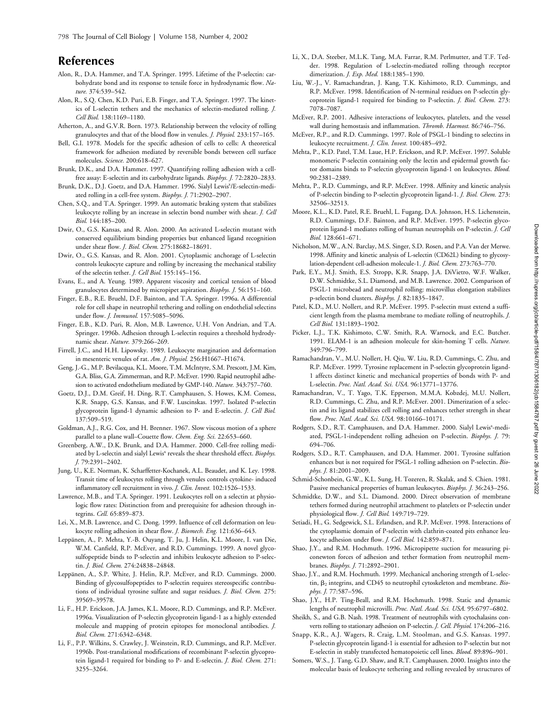## **References**

- Alon, R., D.A. Hammer, and T.A. Springer. 1995. Lifetime of the P-selectin: carbohydrate bond and its response to tensile force in hydrodynamic flow. *Nature.* 374:539–542.
- Alon, R., S.Q. Chen, K.D. Puri, E.B. Finger, and T.A. Springer. 1997. The kinetics of L-selectin tethers and the mechanics of selectin-mediated rolling. *J. Cell Biol.* 138:1169–1180.
- Atherton, A., and G.V.R. Born. 1973. Relationship between the velocity of rolling granulocytes and that of the blood flow in venules. *J. Physiol.* 233:157–165.
- Bell, G.I. 1978. Models for the specific adhesion of cells to cells: A theoretical framework for adhesion mediated by reversible bonds between cell surface molecules. *Science.* 200:618–627.
- Brunk, D.K., and D.A. Hammer. 1997. Quantifying rolling adhesion with a cellfree assay: E-selectin and its carbohydrate ligands. *Biophys. J.* 72:2820–2833.
- Brunk, D.K., D.J. Goetz, and D.A. Hammer. 1996. Sialyl Lewis<sup>x</sup>/E-selectin-mediated rolling in a cell-free system. *Biophys. J.* 71:2902–2907.
- Chen, S.Q., and T.A. Springer. 1999. An automatic braking system that stabilizes leukocyte rolling by an increase in selectin bond number with shear. *J. Cell Biol.* 144:185–200.
- Dwir, O., G.S. Kansas, and R. Alon. 2000. An activated L-selectin mutant with conserved equilibrium binding properties but enhanced ligand recognition under shear flow. *J. Biol. Chem.* 275:18682–18691.
- Dwir, O., G.S. Kansas, and R. Alon. 2001. Cytoplasmic anchorage of L-selectin controls leukocyte capture and rolling by increasing the mechanical stability of the selectin tether. *J. Cell Biol.* 155:145–156.
- Evans, E., and A. Yeung. 1989. Apparent viscosity and cortical tension of blood granulocytes determined by micropipet aspiration. *Biophys. J.* 56:151–160.
- Finger, E.B., R.E. Bruehl, D.F. Bainton, and T.A. Springer. 1996a. A differential role for cell shape in neutrophil tethering and rolling on endothelial selectins under flow. *J. Immunol.* 157:5085–5096.
- Finger, E.B., K.D. Puri, R. Alon, M.B. Lawrence, U.H. Von Andrian, and T.A. Springer. 1996b. Adhesion through L-selectin requires a threshold hydrodynamic shear. *Nature.* 379:266–269.
- Firrell, J.C., and H.H. Lipowsky. 1989. Leukocyte margination and deformation in mesenteric venules of rat. *Am. J. Physiol.* 256:H1667–H1674.
- Geng, J.-G., M.P. Bevilacqua, K.L. Moore, T.M. McIntyre, S.M. Prescott, J.M. Kim, G.A. Bliss, G.A. Zimmerman, and R.P. McEver. 1990. Rapid neutrophil adhesion to activated endothelium mediated by GMP-140. *Nature.* 343:757–760.
- Goetz, D.J., D.M. Greif, H. Ding, R.T. Camphausen, S. Howes, K.M. Comess, K.R. Snapp, G.S. Kansas, and F.W. Luscinskas. 1997. Isolated P-selectin glycoprotein ligand-1 dynamic adhesion to P- and E-selectin. *J. Cell Biol.* 137:509–519.
- Goldman, A.J., R.G. Cox, and H. Brenner. 1967. Slow viscous motion of a sphere parallel to a plane wall–Couette flow. *Chem. Eng. Sci.* 22:653–660.
- Greenberg, A.W., D.K. Brunk, and D.A. Hammer. 2000. Cell-free rolling mediated by L-selectin and sialyl Lewis<sup>x</sup> reveals the shear threshold effect. *Biophys. J.* 79:2391–2402.
- Jung, U., K.E. Norman, K. Scharffetter-Kochanek, A.L. Beaudet, and K. Ley. 1998. Transit time of leukocytes rolling through venules controls cytokine- induced inflammatory cell recruitment in vivo. *J. Clin. Invest.* 102:1526–1533.
- Lawrence, M.B., and T.A. Springer. 1991. Leukocytes roll on a selectin at physiologic flow rates: Distinction from and prerequisite for adhesion through integrins. *Cell.* 65:859–873.
- Lei, X., M.B. Lawrence, and C. Dong. 1999. Influence of cell deformation on leukocyte rolling adhesion in shear flow. *J. Biomech. Eng.* 121:636–643.
- Leppänen, A., P. Mehta, Y.-B. Ouyang, T. Ju, J. Helin, K.L. Moore, I. van Die, W.M. Canfield, R.P. McEver, and R.D. Cummings. 1999. A novel glycosulfopeptide binds to P-selectin and inhibits leukocyte adhesion to P-selectin. *J. Biol. Chem.* 274:24838–24848.
- Leppänen, A., S.P. White, J. Helin, R.P. McEver, and R.D. Cummings. 2000. Binding of glycosulfopeptides to P-selectin requires stereospecific contributions of individual tyrosine sulfate and sugar residues. *J. Biol. Chem.* 275: 39569–39578.
- Li, F., H.P. Erickson, J.A. James, K.L. Moore, R.D. Cummings, and R.P. McEver. 1996a. Visualization of P-selectin glycoprotein ligand-1 as a highly extended molecule and mapping of protein epitopes for monoclonal antibodies. *J. Biol. Chem.* 271:6342–6348.
- Li, F., P.P. Wilkins, S. Crawley, J. Weinstein, R.D. Cummings, and R.P. McEver. 1996b. Post-translational modifications of recombinant P-selectin glycoprotein ligand-1 required for binding to P- and E-selectin. *J. Biol. Chem.* 271: 3255–3264.
- Li, X., D.A. Steeber, M.L.K. Tang, M.A. Farrar, R.M. Perlmutter, and T.F. Tedder. 1998. Regulation of L-selectin-mediated rolling through receptor dimerization. *J. Exp. Med.* 188:1385–1390.
- Liu, W.-J., V. Ramachandran, J. Kang, T.K. Kishimoto, R.D. Cummings, and R.P. McEver. 1998. Identification of N-terminal residues on P-selectin glycoprotein ligand-1 required for binding to P-selectin. *J. Biol. Chem.* 273: 7078–7087.
- McEver, R.P. 2001. Adhesive interactions of leukocytes, platelets, and the vessel wall during hemostasis and inflammation. *Thromb. Haemost.* 86:746–756.
- McEver, R.P., and R.D. Cummings. 1997. Role of PSGL-1 binding to selectins in leukocyte recruitment. *J. Clin. Invest.* 100:485–492.
- Mehta, P., K.D. Patel, T.M. Laue, H.P. Erickson, and R.P. McEver. 1997. Soluble monomeric P-selectin containing only the lectin and epidermal growth factor domains binds to P-selectin glycoprotein ligand-1 on leukocytes. *Blood.* 90:2381–2389.
- Mehta, P., R.D. Cummings, and R.P. McEver. 1998. Affinity and kinetic analysis of P-selectin binding to P-selectin glycoprotein ligand-1. *J. Biol. Chem.* 273: 32506–32513.
- Moore, K.L., K.D. Patel, R.E. Bruehl, L. Fugang, D.A. Johnson, H.S. Lichenstein, R.D. Cummings, D.F. Bainton, and R.P. McEver. 1995. P-selectin glycoprotein ligand-1 mediates rolling of human neutrophils on P-selectin. *J. Cell Biol.* 128:661–671.
- Nicholson, M.W., A.N. Barclay, M.S. Singer, S.D. Rosen, and P.A. Van der Merwe. 1998. Affinity and kinetic analysis of L-selectin (CD62L) binding to glycosylation-dependent cell-adhesion molecule-1. *J. Biol. Chem.* 273:763–770.
- Park, E.Y., M.J. Smith, E.S. Stropp, K.R. Snapp, J.A. DiVietro, W.F. Walker, D.W. Schmidtke, S.L. Diamond, and M.B. Lawrence. 2002. Comparison of PSGL-1 microbead and neutrophil rolling: microvillus elongation stabilizes p-selectin bond clusters. *Biophys. J.* 82:1835–1847.
- Patel, K.D., M.U. Nollert, and R.P. McEver. 1995. P-selectin must extend a sufficient length from the plasma membrane to mediate rolling of neutrophils. *J. Cell Biol.* 131:1893–1902.
- Picker, L.J., T.K. Kishimoto, C.W. Smith, R.A. Warnock, and E.C. Butcher. 1991. ELAM-1 is an adhesion molecule for skin-homing T cells. *Nature.* 349:796–799.
- Ramachandran, V., M.U. Nollert, H. Qiu, W. Liu, R.D. Cummings, C. Zhu, and R.P. McEver. 1999. Tyrosine replacement in P-selectin glycoprotein ligand-1 affects distinct kinetic and mechanical properties of bonds with P- and L-selectin. *Proc. Natl. Acad. Sci. USA.* 96:13771–13776.
- Ramachandran, V., T. Yago, T.K. Epperson, M.M.A. Kobzdej, M.U. Nollert, R.D. Cummings, C. Zhu, and R.P. McEver. 2001. Dimerization of a selectin and its ligand stabilizes cell rolling and enhances tether strength in shear flow. *Proc. Natl. Acad. Sci. USA.* 98:10166–10171.
- Rodgers, S.D., R.T. Camphausen, and D.A. Hammer. 2000. Sialyl Lewis<sup>x</sup>-mediated, PSGL-1-independent rolling adhesion on P-selectin. *Biophys. J.* 79: 694–706.
- Rodgers, S.D., R.T. Camphausen, and D.A. Hammer. 2001. Tyrosine sulfation enhances but is not required for PSGL-1 rolling adhesion on P-selectin. *Biophys. J.* 81:2001–2009.
- Schmid-Schonbein, G.W., K.L. Sung, H. Tozeren, R. Skalak, and S. Chien. 1981. Passive mechanical properties of human leukocytes. *Biophys. J.* 36:243–256.
- Schmidtke, D.W., and S.L. Diamond. 2000. Direct observation of membrane tethers formed during neutrophil attachment to platelets or P-selectin under physiological flow. *J. Cell Biol.* 149:719–729.
- Setiadi, H., G. Sedgewick, S.L. Erlandsen, and R.P. McEver. 1998. Interactions of the cytoplasmic domain of P-selectin with clathrin-coated pits enhance leukocyte adhesion under flow. *J. Cell Biol.* 142:859–871.
- Shao, J.Y., and R.M. Hochmuth. 1996. Micropipette suction for measuring piconewton forces of adhesion and tether formation from neutrophil membranes. *Biophys. J.* 71:2892–2901.
- Shao, J.Y., and R.M. Hochmuth. 1999. Mechanical anchoring strength of L-selectin,  $\beta_2$  integrins, and CD45 to neutrophil cytoskeleton and membrane. *Biophys. J.* 77:587–596.
- Shao, J.Y., H.P. Ting-Beall, and R.M. Hochmuth. 1998. Static and dynamic lengths of neutrophil microvilli. *Proc. Natl. Acad. Sci. USA.* 95:6797–6802.
- Sheikh, S., and G.B. Nash. 1998. Treatment of neutrophils with cytochalasins converts rolling to stationary adhesion on P-selectin. *J. Cell. Physiol.* 174:206–216.
- Snapp, K.R., A.J. Wagers, R. Craig, L.M. Stoolman, and G.S. Kansas. 1997. P-selectin glycoprotein ligand-1 is essential for adhesion to P-selectin but not E-selectin in stably transfected hematopoietic cell lines. *Blood.* 89:896–901.
- Somers, W.S., J. Tang, G.D. Shaw, and R.T. Camphausen. 2000. Insights into the molecular basis of leukocyte tethering and rolling revealed by structures of